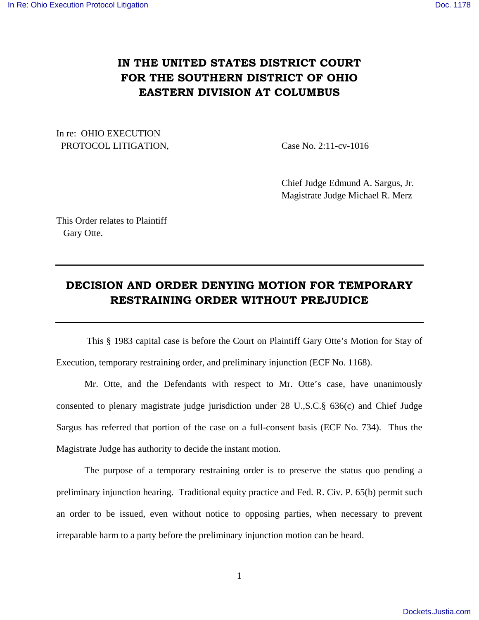## **IN THE UNITED STATES DISTRICT COURT FOR THE SOUTHERN DISTRICT OF OHIO EASTERN DIVISION AT COLUMBUS**

In re: OHIO EXECUTION PROTOCOL LITIGATION, Case No. 2:11-cv-1016

 Chief Judge Edmund A. Sargus, Jr. Magistrate Judge Michael R. Merz

This Order relates to Plaintiff Gary Otte.

## **DECISION AND ORDER DENYING MOTION FOR TEMPORARY RESTRAINING ORDER WITHOUT PREJUDICE**

 This § 1983 capital case is before the Court on Plaintiff Gary Otte's Motion for Stay of Execution, temporary restraining order, and preliminary injunction (ECF No. 1168).

Mr. Otte, and the Defendants with respect to Mr. Otte's case, have unanimously consented to plenary magistrate judge jurisdiction under 28 U.,S.C.§ 636(c) and Chief Judge Sargus has referred that portion of the case on a full-consent basis (ECF No. 734). Thus the Magistrate Judge has authority to decide the instant motion.

The purpose of a temporary restraining order is to preserve the status quo pending a preliminary injunction hearing. Traditional equity practice and Fed. R. Civ. P. 65(b) permit such an order to be issued, even without notice to opposing parties, when necessary to prevent irreparable harm to a party before the preliminary injunction motion can be heard.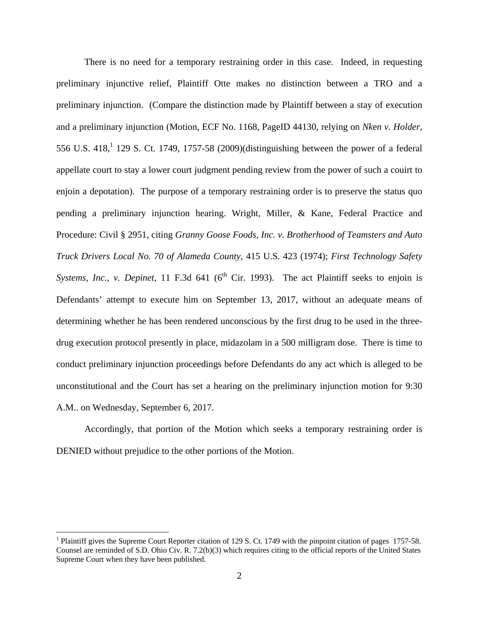There is no need for a temporary restraining order in this case. Indeed, in requesting preliminary injunctive relief, Plaintiff Otte makes no distinction between a TRO and a preliminary injunction. (Compare the distinction made by Plaintiff between a stay of execution and a preliminary injunction (Motion, ECF No. 1168, PageID 44130, relying on *Nk*e*n v. Holder*, 556 U.S.  $418<sup>1</sup>$ , 129 S. Ct. 1749, 1757-58 (2009)(distinguishing between the power of a federal appellate court to stay a lower court judgment pending review from the power of such a couirt to enjoin a depotation). The purpose of a temporary restraining order is to preserve the status quo pending a preliminary injunction hearing. Wright, Miller, & Kane, Federal Practice and Procedure: Civil § 2951, citing *Granny Goose Foods, Inc. v. Brotherhood of Teamsters and Auto Truck Drivers Local No. 70 of Alameda County*, 415 U.S. 423 (1974); *First Technology Safety Systems, Inc., v. Depinet, 11 F.3d 641 (6<sup>th</sup> Cir. 1993). The act Plaintiff seeks to enjoin is* Defendants' attempt to execute him on September 13, 2017, without an adequate means of determining whether he has been rendered unconscious by the first drug to be used in the threedrug execution protocol presently in place, midazolam in a 500 milligram dose. There is time to conduct preliminary injunction proceedings before Defendants do any act which is alleged to be unconstitutional and the Court has set a hearing on the preliminary injunction motion for 9:30 A.M.. on Wednesday, September 6, 2017.

 Accordingly, that portion of the Motion which seeks a temporary restraining order is DENIED without prejudice to the other portions of the Motion.

<u>.</u>

<sup>&</sup>lt;sup>1</sup> Plaintiff gives the Supreme Court Reporter citation of 129 S. Ct. 1749 with the pinpoint citation of pages 1757-58. Counsel are reminded of S.D. Ohio Civ. R. 7.2(b)(3) which requires citing to the official reports of the United States Supreme Court when they have been published.